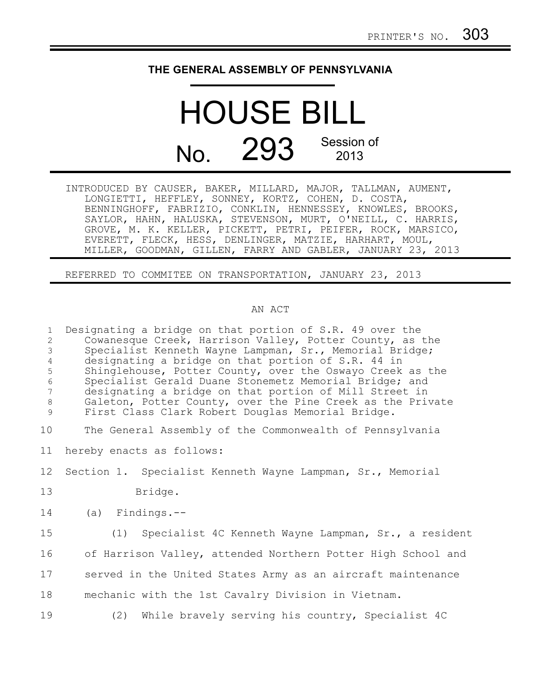## **THE GENERAL ASSEMBLY OF PENNSYLVANIA**

## HOUSE BILL No. 293 Session of 2013

INTRODUCED BY CAUSER, BAKER, MILLARD, MAJOR, TALLMAN, AUMENT, LONGIETTI, HEFFLEY, SONNEY, KORTZ, COHEN, D. COSTA, BENNINGHOFF, FABRIZIO, CONKLIN, HENNESSEY, KNOWLES, BROOKS, SAYLOR, HAHN, HALUSKA, STEVENSON, MURT, O'NEILL, C. HARRIS, GROVE, M. K. KELLER, PICKETT, PETRI, PEIFER, ROCK, MARSICO, EVERETT, FLECK, HESS, DENLINGER, MATZIE, HARHART, MOUL, MILLER, GOODMAN, GILLEN, FARRY AND GABLER, JANUARY 23, 2013

REFERRED TO COMMITEE ON TRANSPORTATION, JANUARY 23, 2013

## AN ACT

| $\mathbf{1}$<br>$\overline{2}$<br>$\mathfrak{Z}$<br>$\overline{4}$<br>5<br>$\epsilon$<br>$\overline{7}$<br>$\,8\,$<br>9 | Designating a bridge on that portion of S.R. 49 over the<br>Cowanesque Creek, Harrison Valley, Potter County, as the<br>Specialist Kenneth Wayne Lampman, Sr., Memorial Bridge;<br>designating a bridge on that portion of S.R. 44 in<br>Shinglehouse, Potter County, over the Oswayo Creek as the<br>Specialist Gerald Duane Stonemetz Memorial Bridge; and<br>designating a bridge on that portion of Mill Street in<br>Galeton, Potter County, over the Pine Creek as the Private<br>First Class Clark Robert Douglas Memorial Bridge. |
|-------------------------------------------------------------------------------------------------------------------------|-------------------------------------------------------------------------------------------------------------------------------------------------------------------------------------------------------------------------------------------------------------------------------------------------------------------------------------------------------------------------------------------------------------------------------------------------------------------------------------------------------------------------------------------|
| 10                                                                                                                      | The General Assembly of the Commonwealth of Pennsylvania                                                                                                                                                                                                                                                                                                                                                                                                                                                                                  |
| 11                                                                                                                      | hereby enacts as follows:                                                                                                                                                                                                                                                                                                                                                                                                                                                                                                                 |
| 12                                                                                                                      | Section 1. Specialist Kenneth Wayne Lampman, Sr., Memorial                                                                                                                                                                                                                                                                                                                                                                                                                                                                                |
| 13                                                                                                                      | Bridge.                                                                                                                                                                                                                                                                                                                                                                                                                                                                                                                                   |
| 14                                                                                                                      | $(a)$ Findings.--                                                                                                                                                                                                                                                                                                                                                                                                                                                                                                                         |
| 15                                                                                                                      | (1) Specialist 4C Kenneth Wayne Lampman, Sr., a resident                                                                                                                                                                                                                                                                                                                                                                                                                                                                                  |
| 16                                                                                                                      | of Harrison Valley, attended Northern Potter High School and                                                                                                                                                                                                                                                                                                                                                                                                                                                                              |
| 17                                                                                                                      | served in the United States Army as an aircraft maintenance                                                                                                                                                                                                                                                                                                                                                                                                                                                                               |
| 18                                                                                                                      | mechanic with the 1st Cavalry Division in Vietnam.                                                                                                                                                                                                                                                                                                                                                                                                                                                                                        |
| 19                                                                                                                      | (2) While bravely serving his country, Specialist 4C                                                                                                                                                                                                                                                                                                                                                                                                                                                                                      |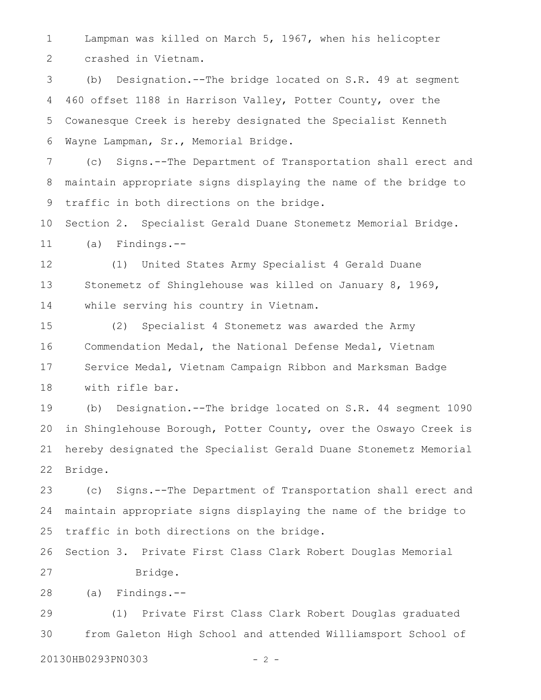Lampman was killed on March 5, 1967, when his helicopter crashed in Vietnam. 1 2

(b) Designation.--The bridge located on S.R. 49 at segment 460 offset 1188 in Harrison Valley, Potter County, over the Cowanesque Creek is hereby designated the Specialist Kenneth Wayne Lampman, Sr., Memorial Bridge. 3 4 5 6

(c) Signs.--The Department of Transportation shall erect and maintain appropriate signs displaying the name of the bridge to traffic in both directions on the bridge. 7 8 9

Section 2. Specialist Gerald Duane Stonemetz Memorial Bridge. (a) Findings.-- 10 11

(1) United States Army Specialist 4 Gerald Duane Stonemetz of Shinglehouse was killed on January 8, 1969, while serving his country in Vietnam. 12 13 14

(2) Specialist 4 Stonemetz was awarded the Army Commendation Medal, the National Defense Medal, Vietnam Service Medal, Vietnam Campaign Ribbon and Marksman Badge with rifle bar. 15 16 17 18

(b) Designation.--The bridge located on S.R. 44 segment 1090 in Shinglehouse Borough, Potter County, over the Oswayo Creek is hereby designated the Specialist Gerald Duane Stonemetz Memorial Bridge. 19 20 21 22

(c) Signs.--The Department of Transportation shall erect and maintain appropriate signs displaying the name of the bridge to traffic in both directions on the bridge. 23 24 25

Section 3. Private First Class Clark Robert Douglas Memorial Bridge. 26 27

(a) Findings.-- 28

(1) Private First Class Clark Robert Douglas graduated from Galeton High School and attended Williamsport School of 29 30

20130HB0293PN0303 - 2 -